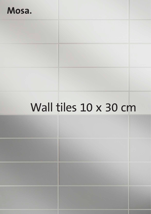## Mosa.

## Wall tiles 10 x 30 cm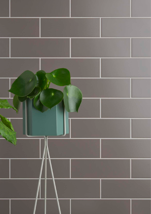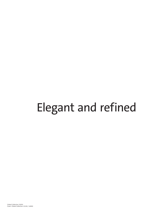# Elegant and refined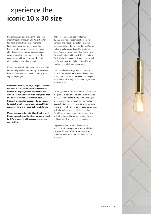### Experience the **iconic 10 x 30 size**

Horizontale, verticale of diagonale patronen: met het tegelformaat van 10 x 30 centimeter kan het allemaal. De elegante, verfijnde lijnen creëren wanden met een strakke, tijdloze uitstraling. Met keuze uit meerdere afwerkingen en kleurencombinaties, zijn de ontwerpmogelijkheden eindeloos om elke gewenste wand te creëren: van subtiel tot uitgesproken en alles daartussenin.

Mosa's 10 x 30 centimeter wandtegels versterken het ruimtelijke effect. Hierdoor zijn ze een ideale basis voor interieurs waarin elk voorwerp in het oog blijft springen.

**Whether horizontal, vertical, or diagonal patterns, the iconic 10 x 30 centimetres tile size enables them all. Its elegant, refined lines create walls with a sleek, timeless look. With multiple finishes and colour combinations to choose from, the tiles enable an endless degree of design freedom to create the wall of your choice: from subtle to pronounced and every other option in between.**

**Mosa's arrangement of 10 x 30 centimetres wall tiles reinforces the spatial effect, forming an ideal basis for interiors in which every object remains eye-catching.**

Mit den klassischen Fliesen im Format 10 x 30 Zentimeter lassen sich horizontale, vertikale und diagonale Muster legen. Aus eleganten, raffinierten Linien entstehen Wände mit einem glatten, zeitlosen Design. Dank einer Auswahl aus zahllosen Oberflächen und Farbkombinationen bieten die Fliesen endlose Designfreiheit, um genau die Wand zu erschaffen, die Sie sich vorgestellt haben: Von subtil bis markant sind alle Nuancen vertreten.

Das Wandfliesenarrangement von Mosa im Format 10 x 30 Zentimeter verstärkt den räumlichen Effekt und bildet die ideale Grundlage für eine Inneneinrichtung, bei der jedes Objekt eine Funktion erfüllt.

Qu'il s'agisse de motifs horizontaux, verticaux ou diagonaux, avec la taille de carreaux iconique de 10 x 30 centimètres tout est possible. Ses lignes élégantes et raffinées créent des murs au look épuré et intemporel. Proposés dans de multiples finitions et combinaisons de couleurs, les carreaux se traduisent par une liberté de conception illimitée pour créer le mur de votre choix : des styles les plus subtils aux plus prononcés, sans oublier toutes les solutions intermédiaires.

L'agencement de carreaux de faïence de 10 x 30 centimètres par Mosa renforce l'effet d'espace, formant une base idéale pour les intérieurs où chaque objet continuer à attirer le regard.

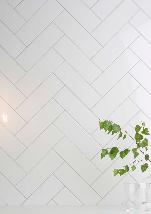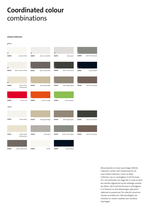### **Coordinated colour**  combinations

**Global Collection**

| gloss |                           |       |                  |       |                   |       |                   |
|-------|---------------------------|-------|------------------|-------|-------------------|-------|-------------------|
|       |                           |       |                  |       |                   |       |                   |
| ⊁     |                           | ≁     |                  |       |                   |       |                   |
| 16900 | accent white              | 16840 | plain cool white | 16870 | plain grey        | 16880 | plain mouse grey  |
| ≁     |                           |       |                  |       |                   |       |                   |
| 16610 | plain cream-white         | 26250 | plain anthracite | 16850 | plain ivory black | 16910 | accent black      |
| ⊁     |                           |       |                  |       |                   |       |                   |
| 16860 | plain white<br>unbleached | 16630 | plain grey beige | 16650 | plain agate grey  | 26240 | plain warm grey   |
|       |                           |       |                  |       |                   |       |                   |
| 16950 | accent red                | 16980 | Dutch orange     | 17900 | macaw green       |       |                   |
| satin |                           |       |                  |       |                   |       |                   |
|       |                           |       |                  |       |                   |       |                   |
| 15010 | plain white               | 15030 | plain grey beige | 15050 | plain agate grey  | 15200 | plain ivory black |
|       |                           |       |                  |       |                   |       |                   |
| 15210 | plain white<br>unbleached | 15220 | plain grey       | 15230 | plain mouse grey  | 25240 | plain warm grey   |
|       |                           |       |                  |       |                   |       |                   |
| 25250 | plain anthracite          | 13000 | white            | 15240 | accent black      |       |                   |

Alle producten uit onze voormalige 10thirty Collection, samen met nieuwe kleuren uit onze Global Collection, Colors en Matt Collection, zijn nu verkrijgbaar in het formaat 10 x 30 centimeter. Een tegel die in maat en kleur kan worden afgestemd op het volledige aanbod van Mosa. Het iconische formaat is verkrijgbaar in 37 kleuren en drie afwerkingen: glanzend, zijdemat en poedermat. De collectie omvat zes nieuwe accentkleuren. Alle wandtegels zijn modulair en sluiten naadloos aan op Mosavloertegels.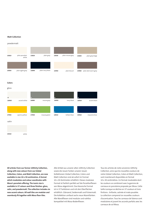#### **Matt Collection**

powdermatt



**All articles from our former 10thirty Collection, along with new colours from our Global Collection, Colors, and Matt Collection, are now available in size 10 x 30 centimetres. A format which modulates and colour coordinates with Mosa's porcelain offering. The iconic size is available in 37 colours and three finishes: gloss, satin, and powdermatt. The collection includes six new accent colours. All wall tiles are modular and seamlessly fit together with Mosa floor tiles.**

Alle Artikel aus unserer alten 10thirty Collection sowie die neuen Farben unserer neuen Kollektionen Global Collection, Colors und Matt Collection sind ab sofort im Format 10 x 30 Zentimeter erhältlich. Dieses modulare Format ist farblich perfekt auf die Porzellanfliesen von Mosa abgestimmt. Das klassische Format ist in 37 Farbtönen und mit drei Oberflächen erhältlich: Glänzend, Seidenmatt und Pulvermatt. Die Kollektion umfasst sechs neue Akzentfarben. Alle Wandfliesen sind modular und nahtlos kompatibel mit Mosa-Bodenfliesen.

Tous les articles de notre ancienne 10thirty Collection, ainsi que les nouvelles couleurs de notre Global Collection, Colors et Matt Collection, sont maintenant disponibles en format 10 x 30 centimètres. Un format modulable dont les couleurs se combinent avec la gamme de carreaux en porcelaine proposée par Mosa. Cette taille iconique se décline en 37 couleurs et trois finitions : brillante, satinée et mate poudrée. La collection comprend six nouvelles couleurs d'accentuation. Tous les carreaux de faïence sont modulaires et jouent les accords parfaits avec les carreaux de sol Mosa.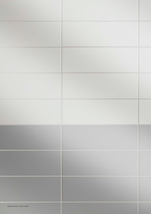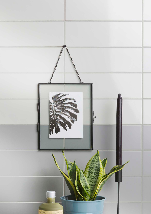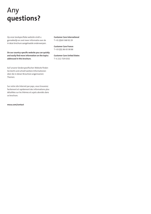### Any **questions?**

Op onze landspecifieke website vindt u gemakkelijk en snel meer informatie over de in deze brochure aangehaalde onderwerpen.

**On our country-specific website you can quickly and easily find more information on the topics addressed in this brochure.**

**Customer Care International** T +31 (0)43 368 92 29

**Customer Care France** T +33 (0)1 86 65 08 88

**Customer Care United States**  T +1 212 729 6332

Auf unserer länderspezifischen Website finden Sie leicht und schnell weitere Informationen über die in dieser Broschüre angerissenen Themen.

Sur notre site Internet par pays, vous trouverez facilement et rapidement des informations plus détaillées sur les thèmes et sujets abordés dans ce brochure.

**mosa.com/contact**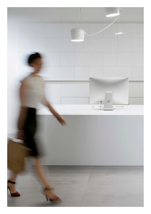